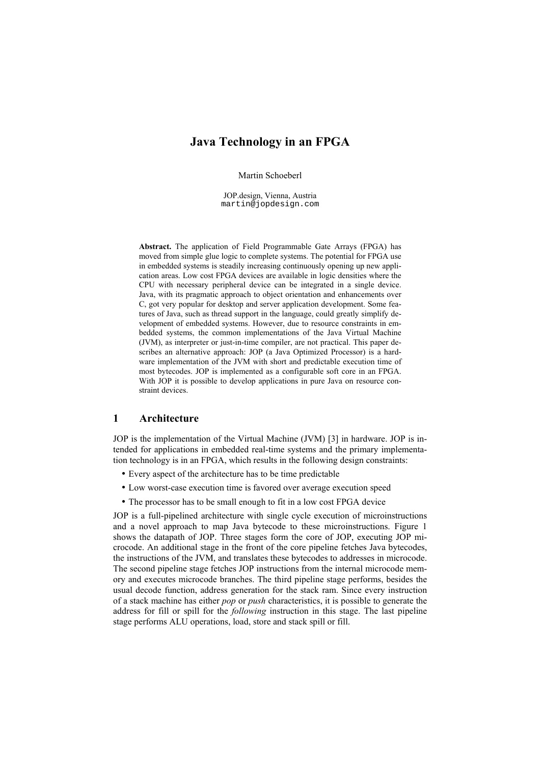# **Java Technology in an FPGA**

Martin Schoeberl

JOP.design, Vienna, Austria martin@jopdesign.com

Abstract. The application of Field Programmable Gate Arrays (FPGA) has moved from simple glue logic to complete systems. The potential for FPGA use in embedded systems is steadily increasing continuously opening up new application areas. Low cost FPGA devices are available in logic densities where the CPU with necessary peripheral device can be integrated in a single device. Java, with its pragmatic approach to object orientation and enhancements over C, got very popular for desktop and server application development. Some features of Java, such as thread support in the language, could greatly simplify development of embedded systems. However, due to resource constraints in embedded systems, the common implementations of the Java Virtual Machine (JVM), as interpreter or just-in-time compiler, are not practical. This paper describes an alternative approach: JOP (a Java Optimized Processor) is a hardware implementation of the JVM with short and predictable execution time of most bytecodes. JOP is implemented as a configurable soft core in an FPGA. With JOP it is possible to develop applications in pure Java on resource constraint devices.

#### $\mathbf{1}$ Architecture

JOP is the implementation of the Virtual Machine (JVM) [3] in hardware. JOP is intended for applications in embedded real-time systems and the primary implementation technology is in an FPGA, which results in the following design constraints:

- Every aspect of the architecture has to be time predictable
- Low worst-case execution time is favored over average execution speed
- The processor has to be small enough to fit in a low cost FPGA device

JOP is a full-pipelined architecture with single cycle execution of microinstructions and a novel approach to map Java bytecode to these microinstructions. Figure 1 shows the datapath of JOP. Three stages form the core of JOP, executing JOP microcode. An additional stage in the front of the core pipeline fetches Java bytecodes, the instructions of the JVM, and translates these bytecodes to addresses in microcode. The second pipeline stage fetches JOP instructions from the internal microcode memory and executes microcode branches. The third pipeline stage performs, besides the usual decode function, address generation for the stack ram. Since every instruction of a stack machine has either *pop* or *push* characteristics, it is possible to generate the address for fill or spill for the *following* instruction in this stage. The last pipeline stage performs ALU operations, load, store and stack spill or fill.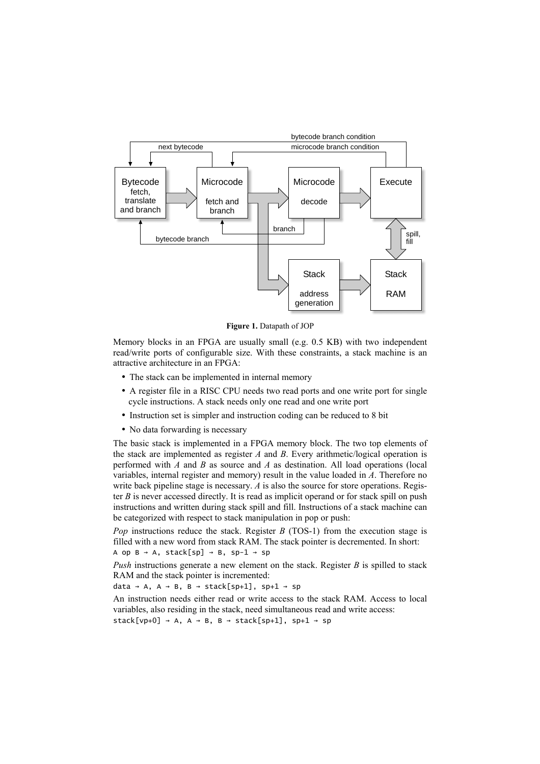

Figure 1. Datapath of JOP

Memory blocks in an FPGA are usually small (e.g. 0.5 KB) with two independent read/write ports of configurable size. With these constraints, a stack machine is an attractive architecture in an FPGA:

- The stack can be implemented in internal memory
- A register file in a RISC CPU needs two read ports and one write port for single cycle instructions. A stack needs only one read and one write port
- Instruction set is simpler and instruction coding can be reduced to 8 bit
- No data forwarding is necessary

The basic stack is implemented in a FPGA memory block. The two top elements of the stack are implemented as register  $A$  and  $B$ . Every arithmetic/logical operation is performed with  $A$  and  $B$  as source and  $A$  as destination. All load operations (local variables, internal register and memory) result in the value loaded in  $A$ . Therefore no write back pipeline stage is necessary.  $\vec{A}$  is also the source for store operations. Register  $B$  is never accessed directly. It is read as implicit operand or for stack spill on push instructions and written during stack spill and fill. Instructions of a stack machine can be categorized with respect to stack manipulation in pop or push:

Pop instructions reduce the stack. Register  $B$  (TOS-1) from the execution stage is filled with a new word from stack RAM. The stack pointer is decremented. In short: A op B  $\rightarrow$  A, stack[sp]  $\rightarrow$  B, sp-1  $\rightarrow$  sp

*Push* instructions generate a new element on the stack. Register  $B$  is spilled to stack RAM and the stack pointer is incremented:

data + A, A + B, B + stack[sp+1], sp+1 + sp

An instruction needs either read or write access to the stack RAM. Access to local variables, also residing in the stack, need simultaneous read and write access: stack[vp+0]  $\rightarrow$  A, A  $\rightarrow$  B, B  $\rightarrow$  stack[sp+1], sp+1  $\rightarrow$  sp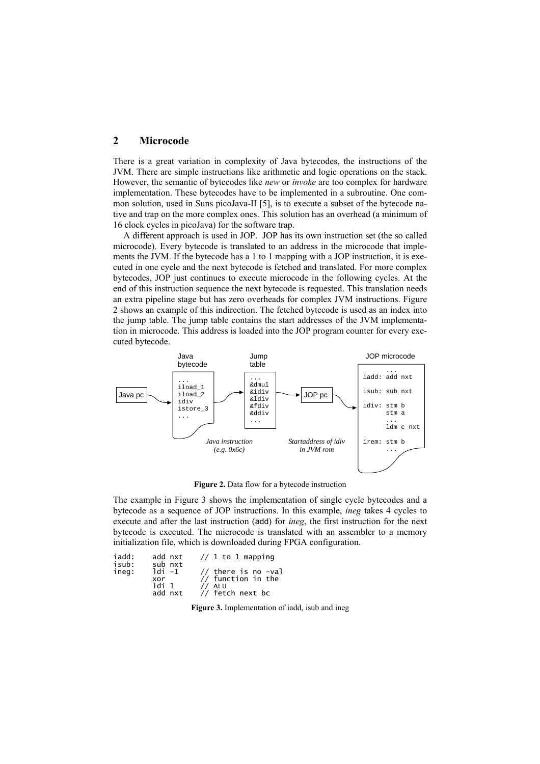#### $\overline{2}$ **Microcode**

There is a great variation in complexity of Java bytecodes, the instructions of the JVM. There are simple instructions like arithmetic and logic operations on the stack. However, the semantic of bytecodes like *new* or *invoke* are too complex for hardware implementation. These bytecodes have to be implemented in a subroutine. One common solution, used in Suns picoJava-II [5], is to execute a subset of the bytecode native and trap on the more complex ones. This solution has an overhead (a minimum of 16 clock cycles in picoJava) for the software trap.

A different approach is used in JOP. JOP has its own instruction set (the so called microcode). Every bytecode is translated to an address in the microcode that implements the JVM. If the bytecode has a 1 to 1 mapping with a JOP instruction, it is executed in one cycle and the next bytecode is fetched and translated. For more complex bytecodes, JOP just continues to execute microcode in the following cycles. At the end of this instruction sequence the next bytecode is requested. This translation needs an extra pipeline stage but has zero overheads for complex JVM instructions. Figure 2 shows an example of this indirection. The fetched bytecode is used as an index into the jump table. The jump table contains the start addresses of the JVM implementation in microcode. This address is loaded into the JOP program counter for every executed bytecode.



Figure 2. Data flow for a bytecode instruction

The example in Figure 3 shows the implementation of single cycle bytecodes and a bytecode as a sequence of JOP instructions. In this example, *ineg* takes 4 cycles to execute and after the last instruction (add) for *ineg*, the first instruction for the next bytecode is executed. The microcode is translated with an assembler to a memory initialization file, which is downloaded during FPGA configuration.

| iadd:<br>isub: | add nxt           | $// 1$ to 1 mapping  |
|----------------|-------------------|----------------------|
| ineg:          | sub nxt<br>1di -1 | // there is no -val  |
|                | xor               | $//$ function in the |
|                | $1di$ 1           | $//$ ALU             |
|                | add nxt           | // fetch next bc     |

Figure 3. Implementation of iadd, isub and ineg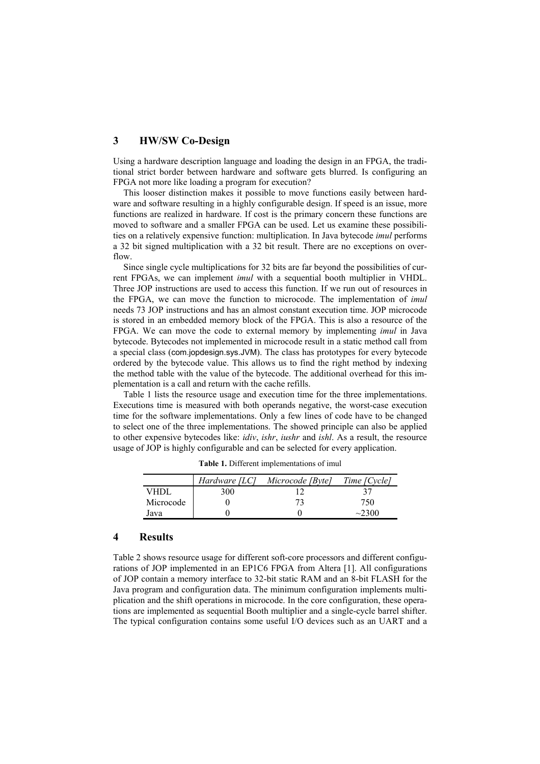#### $\overline{\mathbf{3}}$ **HW/SW Co-Design**

Using a hardware description language and loading the design in an FPGA, the traditional strict border between hardware and software gets blurred. Is configuring an FPGA not more like loading a program for execution?

This looser distinction makes it possible to move functions easily between hardware and software resulting in a highly configurable design. If speed is an issue, more functions are realized in hardware. If cost is the primary concern these functions are moved to software and a smaller FPGA can be used. Let us examine these possibilities on a relatively expensive function: multiplication. In Java bytecode *imul* performs a 32 bit signed multiplication with a 32 bit result. There are no exceptions on overflow

Since single cycle multiplications for 32 bits are far beyond the possibilities of current FPGAs, we can implement *imul* with a sequential booth multiplier in VHDL. Three JOP instructions are used to access this function. If we run out of resources in the FPGA, we can move the function to microcode. The implementation of imul needs 73 JOP instructions and has an almost constant execution time. JOP microcode is stored in an embedded memory block of the FPGA. This is also a resource of the FPGA. We can move the code to external memory by implementing *imul* in Java bytecode. Bytecodes not implemented in microcode result in a static method call from a special class (com.jopdesign.sys.JVM). The class has prototypes for every bytecode ordered by the bytecode value. This allows us to find the right method by indexing the method table with the value of the bytecode. The additional overhead for this implementation is a call and return with the cache refills.

Table 1 lists the resource usage and execution time for the three implementations. Executions time is measured with both operands negative, the worst-case execution time for the software implementations. Only a few lines of code have to be changed to select one of the three implementations. The showed principle can also be applied to other expensive bytecodes like: *idiv*, *ishr*, *iushr* and *ishl*. As a result, the resource usage of JOP is highly configurable and can be selected for every application.

|           | Hardware [LC] | Microcode [Byte] | Time [Cycle] |
|-----------|---------------|------------------|--------------|
| VHDI      | 300           |                  |              |
| Microcode |               | 72               | 750.         |
| Java      |               |                  | $\sim$ 2300  |

Table 1. Different implementations of imul

#### $\overline{\mathbf{4}}$ **Results**

Table 2 shows resource usage for different soft-core processors and different configurations of JOP implemented in an EP1C6 FPGA from Altera [1]. All configurations of JOP contain a memory interface to 32-bit static RAM and an 8-bit FLASH for the Java program and configuration data. The minimum configuration implements multiplication and the shift operations in microcode. In the core configuration, these operations are implemented as sequential Booth multiplier and a single-cycle barrel shifter. The typical configuration contains some useful I/O devices such as an UART and a